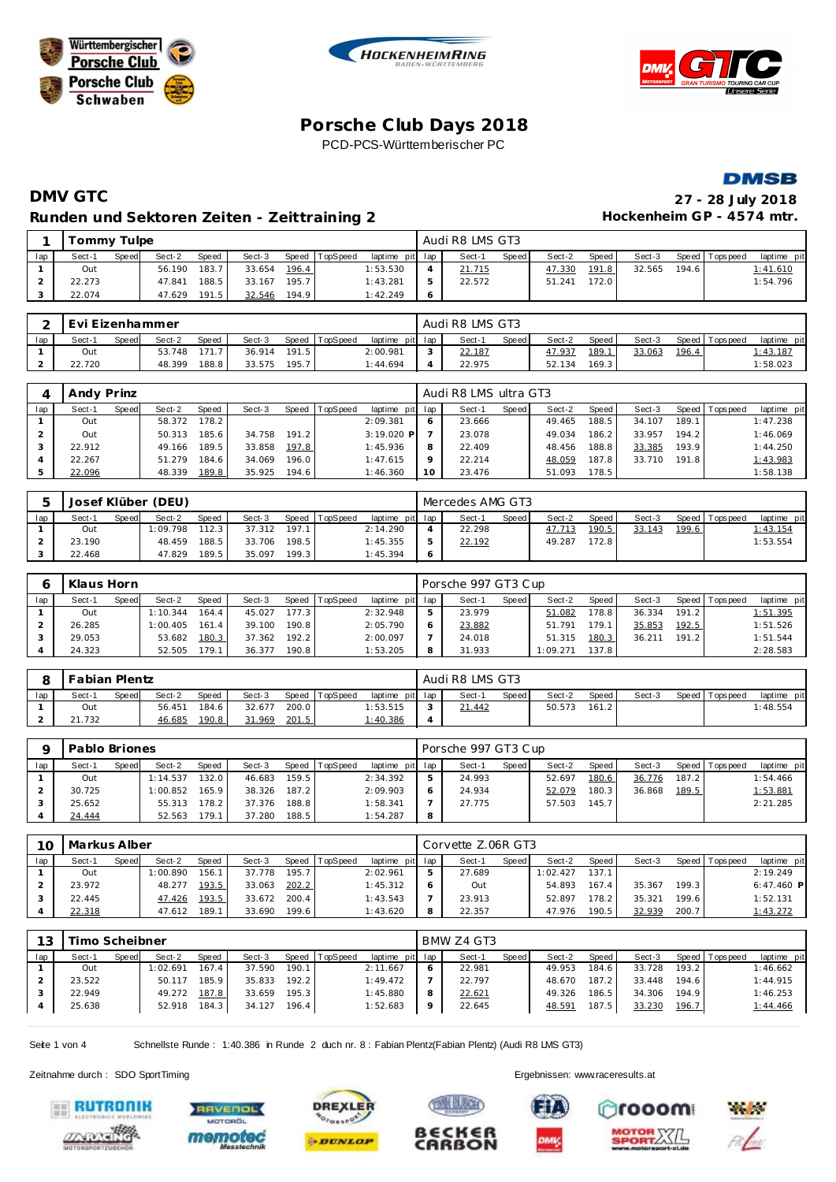







# **DMV GTC 27 - 28 July 2018 Runden und Sektoren Zeiten - Zeittraining 2**

|                           |  | 27 - 28 July 2018 |  |
|---------------------------|--|-------------------|--|
| Hockenheim GP - 4574 mtr. |  |                   |  |

|     | Tommy Tulpe |       |        |       |        |       |                |                 | Audi R8 LMS GT3 |       |        |       |        |        |                |             |
|-----|-------------|-------|--------|-------|--------|-------|----------------|-----------------|-----------------|-------|--------|-------|--------|--------|----------------|-------------|
| lap | Sect-1      | Speed | Sect-2 | Speed | Sect-3 |       | Speed TopSpeed | laptime pit lap | Sect-1          | Speed | Sect-2 | Speed | Sect-3 |        | Speed Topspeed | laptime pit |
|     | Out         |       | 56.190 | 183.7 | 33.654 | 196.4 |                | 1:53.530        | 21.715          |       | 47.330 | 191.8 | 32.565 | 194.61 |                | 1:41.610    |
|     | 22.273      |       | 47.841 | 188.5 | 33.167 | 195.7 |                | 1:43.281        | 22.572          |       | 51.241 | 172.0 |        |        |                | 1:54.796    |
|     | 22.074      |       | 47.629 | 191.5 | 32.546 | 194.9 |                | 1:42.249        |                 |       |        |       |        |        |                |             |

|     | Evi Eizenhammer |       |        |       |        |       |                |                 |        | Audi R8 LMS GT3 |       |        |                    |        |       |                 |             |
|-----|-----------------|-------|--------|-------|--------|-------|----------------|-----------------|--------|-----------------|-------|--------|--------------------|--------|-------|-----------------|-------------|
| lap | Sect-1          | Speed | Sect-2 | Speed | Sect-3 |       | Speed TopSpeed | laptime pit lap |        | Sect-           | Speed | Sect-2 | Speed              | Sect-3 |       | Speed Tops peed | laptime pit |
|     | Out             |       | 53.748 |       | 36.914 | 191.5 |                | 2:00.981        | $\sim$ | 22.187          |       | 47.937 | 189.               | 33.063 | 196.4 |                 | 1:43.187    |
|     | 22.720          |       | 48.399 | 188.8 | 33.575 | 195.7 |                | 1:44.694        |        | 22.975          |       | 52.134 | 169.3 <sub>1</sub> |        |       |                 | 1:58.023    |

|     | Andy Prinz |       |        |              |        |       |                |                 |   | Audi R8 LMS ultra GT3 |       |        |       |        |       |                 |             |
|-----|------------|-------|--------|--------------|--------|-------|----------------|-----------------|---|-----------------------|-------|--------|-------|--------|-------|-----------------|-------------|
| lap | Sect-1     | Speed | Sect-2 | <b>Speed</b> | Sect-3 |       | Speed TopSpeed | laptime pit lap |   | Sect-1                | Speed | Sect-2 | Speed | Sect-3 |       | Speed Tops peed | laptime pit |
|     | Out        |       | 58.372 | 178.2        |        |       |                | 2:09.381        |   | 23.666                |       | 49.465 | 188.5 | 34.107 | 189.1 |                 | 1:47.238    |
|     | Out        |       | 50.313 | 185.6        | 34.758 | 191.2 |                | $3:19.020$ P    |   | 23.078                |       | 49.034 | 186.2 | 33.957 | 194.2 |                 | 1:46.069    |
|     | 22.912     |       | 49.166 | 189.5        | 33.858 | 197.8 |                | 1:45.936        | 8 | 22.409                |       | 48.456 | 188.8 | 33.385 | 193.9 |                 | 1:44.250    |
|     | 22.267     |       | 51.279 | 184.6        | 34.069 | 196.0 |                | 1:47.615        |   | 22.214                |       | 48.059 | 187.8 | 33.710 | 191.8 |                 | 1:43.983    |
|     | 22.096     |       | 48.339 | 189.8        | 35.925 | 194.6 |                | 1:46.360        |   | 23.476                |       | 51.093 | 178.5 |        |       |                 | 1:58.138    |

|     |        |       | Josef Klüber (DEU) |       |        |       |                |                 | Mercedes AMG GT3 |              |        |         |        |       |                   |             |
|-----|--------|-------|--------------------|-------|--------|-------|----------------|-----------------|------------------|--------------|--------|---------|--------|-------|-------------------|-------------|
| lap | Sect-1 | Speed | Sect-2             | Speed | Sect-3 |       | Speed TopSpeed | laptime pit lap | Sect-1           | <b>Speed</b> | Sect-2 | Speed I | Sect-3 |       | Speed   Tops peed | laptime pit |
|     | Out    |       | 1:09.798           | 112.3 | 37.312 | 197.1 |                | 2:14.290        | 22.298           |              | 47.713 | 190.51  | 33.143 | 199.6 |                   | 1:43.154    |
|     | 23.190 |       | 48.459             | 188.5 | 33.706 | 198.5 |                | 1:45.355        | 22.192           |              | 49.287 | 172.8   |        |       |                   | 1:53.554    |
|     | 22.468 |       | 47.829             | 189.5 | 35.097 | 199.3 |                | 1:45.394        |                  |              |        |         |        |       |                   |             |

|     | Klaus Horn |       |          |              |        |       |                |                 |   | Porsche 997 GT3 Cup |       |          |       |        |       |                 |             |
|-----|------------|-------|----------|--------------|--------|-------|----------------|-----------------|---|---------------------|-------|----------|-------|--------|-------|-----------------|-------------|
| lap | Sect-1     | Speed | Sect-2   | <b>Speed</b> | Sect-3 |       | Speed TopSpeed | laptime pit lap |   | Sect-1              | Speed | Sect-2   | Speed | Sect-3 |       | Speed Tops peed | laptime pit |
|     | Out        |       | 1:10.344 | 164.4        | 45.027 | 177.3 |                | 2:32.948        |   | 23.979              |       | 51.082   | 178.8 | 36.334 | 191.2 |                 | 1:51.395    |
|     | 26.285     |       | 1:00.405 | 161.4        | 39.100 | 190.8 |                | 2:05.790        |   | 23.882              |       | 51.791   | 179.1 | 35.853 | 192.5 |                 | 1:51.526    |
|     | 29.053     |       | 53.682   | 180.3        | 37.362 | 192.2 |                | 2:00.097        |   | 24.018              |       | 51.315   | 180.3 | 36.211 | 191.2 |                 | 1:51.544    |
|     | 24.323     |       | 52.505   | 179.1        | 36.377 | 190.8 |                | 1:53.205        | 8 | 31.933              |       | 1:09.271 | 137.8 |        |       |                 | 2:28.583    |

|     | Fabian Plentz |       |        |       |        |       |                |                 |                | Audi R8 LMS GT3 |              |        |       |        |                |             |
|-----|---------------|-------|--------|-------|--------|-------|----------------|-----------------|----------------|-----------------|--------------|--------|-------|--------|----------------|-------------|
| lap | Sect-1        | Speed | Sect-2 | Speed | Sect-3 |       | Speed TopSpeed | laptime pit lap |                | Sect-1          | <b>Speed</b> | Sect-2 | Speed | Sect-3 | Speed Topspeed | laptime pit |
|     | Out           |       | 56.451 | 184.6 | 32.677 | 200.0 |                | 1:53.515        |                | 21.442          |              | 50.573 | 161.2 |        |                | 1:48.554    |
|     | 21.732        |       | 46.685 | 190.8 | 31.969 | 201.5 |                | <u>1:40.386</u> | $\overline{a}$ |                 |              |        |       |        |                |             |

| O   | Pablo Briones |       |          |       |        |       |          |                 |   | Porsche 997 GT3 Cup |              |        |         |        |       |                |             |
|-----|---------------|-------|----------|-------|--------|-------|----------|-----------------|---|---------------------|--------------|--------|---------|--------|-------|----------------|-------------|
| lap | Sect-1        | Speed | Sect-2   | Speed | Sect-3 | Speed | TopSpeed | laptime pit lap |   | Sect-1              | <b>Speed</b> | Sect-2 | Speed i | Sect-3 |       | Speed Topspeed | laptime pit |
|     | Out           |       | 1:14.537 | 132.0 | 46.683 | 159.5 |          | 2:34.392        |   | 24.993              |              | 52.697 | 180.6   | 36.776 | 187.2 |                | 1:54.466    |
|     | 30.725        |       | 1:00.852 | 165.9 | 38.326 | 187.2 |          | 2:09.903        |   | 24.934              |              | 52.079 | 180.3   | 36.868 | 189.5 |                | 1:53.881    |
|     | 25.652        |       | 55.313   | 178.2 | 37.376 | 188.8 |          | 1:58.341        |   | 27.775              |              | 57.503 | 145.7   |        |       |                | 2:21.285    |
|     | 24.444        |       | 52.563   | 179.1 | 37.280 | 188.5 |          | 1:54.287        | 8 |                     |              |        |         |        |       |                |             |

| 10  | Markus Alber |       |          |              |        |       |          |                 |   | Corvette Z.06R GT3 |       |          |        |        |       |                |              |
|-----|--------------|-------|----------|--------------|--------|-------|----------|-----------------|---|--------------------|-------|----------|--------|--------|-------|----------------|--------------|
| lap | Sect-1       | Speed | Sect-2   | <b>Speed</b> | Sect-3 | Speed | TopSpeed | laptime pit lap |   | Sect-1             | Speed | Sect-2   | Speed  | Sect-3 |       | Speed Topspeed | laptime pit  |
|     | Out          |       | 1:00.890 | 156.1        | 37.778 | 195.7 |          | 2:02.961        | 5 | 27.689             |       | 1:02.427 | 137.1. |        |       |                | 2:19.249     |
|     | 23.972       |       | 48.277   | 193.5        | 33.063 | 202.2 |          | 1:45.312        |   | Out                |       | 54.893   | 167.4  | 35.367 | 199.3 |                | $6:47.460$ P |
|     | 22.445       |       | 47.426   | 193.5        | 33.672 | 200.4 |          | 1:43.543        |   | 23.913             |       | 52.897   | 178.2  | 35.321 | 199.6 |                | 1:52.131     |
|     | 22.318       |       | 47.612   | 189.1        | 33.690 | 199.6 |          | 1:43.620        | 8 | 22.357             |       | 47.976   | 190.5  | 32.939 | 200.7 |                | 1:43.272     |

| 13  | imo Scheibner |       |          |       |        |       |                |                 |         | BMW Z4 GT3 |       |        |       |        |       |                 |             |
|-----|---------------|-------|----------|-------|--------|-------|----------------|-----------------|---------|------------|-------|--------|-------|--------|-------|-----------------|-------------|
| lap | Sect-1        | Speed | Sect-2   | Speed | Sect-3 |       | Speed TopSpeed | laptime pit lap |         | Sect-1     | Speed | Sect-2 | Speed | Sect-3 |       | Speed Tops peed | laptime pit |
|     | Out           |       | 1:02.691 | 167.4 | 37.590 | 190.1 |                | 2:11.667        | $\circ$ | 22.981     |       | 49.953 | 184.6 | 33.728 | 193.2 |                 | 1:46.662    |
|     | 23.522        |       | 50.117   | 185.9 | 35.833 | 192.2 |                | 1:49.472        |         | 22.797     |       | 48.670 | 187.2 | 33.448 | 194.6 |                 | 1:44.915    |
|     | 22.949        |       | 49.272   | 187.8 | 33.659 | 195.3 |                | 1:45.880        | 8       | 22.621     |       | 49.326 | 186.5 | 34.306 | 194.9 |                 | 1:46.253    |
|     | 25.638        |       | 52.918   | 184.3 | 34.127 | 196.4 |                | 1:52.683        | $\circ$ | 22.645     |       | 48.591 | 187.5 | 33.230 | 196.7 |                 | 1:44.466    |
|     |               |       |          |       |        |       |                |                 |         |            |       |        |       |        |       |                 |             |

B€CK€F

CARBON

Seite 1 von 4 Schnellste Runde : 1:40.386 in Runde 2 duch nr. 8 : Fabian Plentz(Fabian Plentz) (Audi R8 LMS GT3)











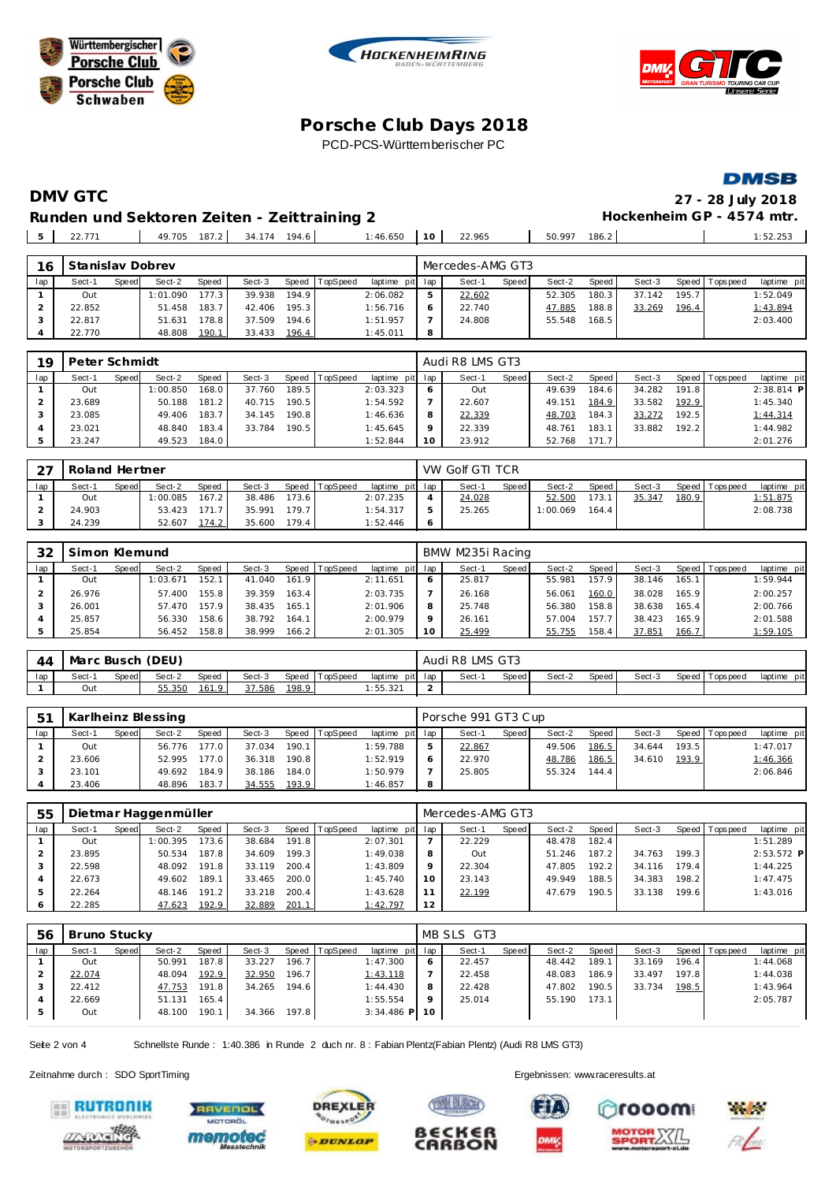





**DMSB** 

# **DMV GTC 27 - 28 July 2018** Runden und Sektoren Zeiten - Zeittraining 2 **Beiter auch der Einer Freiere Ersterne**im GP - 4574 mtr.

22.771 49.705 187.2 34.174 194.6 1:46.650 **10** 22.965 50.997 186.2 1:52.253

| 16  | Stanislav Dobrev |       |          |       |        |       |          |                 |    | Mercedes-AMG GT3 |       |        |       |        |       |                 |             |
|-----|------------------|-------|----------|-------|--------|-------|----------|-----------------|----|------------------|-------|--------|-------|--------|-------|-----------------|-------------|
| lap | Sect-1           | Speed | Sect-2   | Speed | Sect-3 | Speed | TopSpeed | laptime pit lap |    | Sect-1           | Speed | Sect-2 | Speed | Sect-3 |       | Speed Tops peed | laptime pit |
|     | Out              |       | 1:01.090 | 177.3 | 39.938 | 194.9 |          | 2:06.082        | 5. | 22.602           |       | 52.305 | 180.3 | 37.142 | 195.7 |                 | 1:52.049    |
|     | 22.852           |       | 51.458   | 183.7 | 42.406 | 195.3 |          | 1:56.716        |    | 22.740           |       | 47.885 | 188.8 | 33.269 | 196.4 |                 | 1:43.894    |
|     | 22.817           |       | 51.631   | 178.8 | 37.509 | 194.6 |          | 1:51.957        |    | 24.808           |       | 55.548 | 168.5 |        |       |                 | 2:03.400    |
|     | 22.770           |       | 48.808   | 190.1 | 33.433 | 196.4 |          | 1:45.011        | 8  |                  |       |        |       |        |       |                 |             |

| 19  | Peter Schmidt |       |          |       |        |       |          |                 | Audi R8 LMS GT3 |       |        |       |        |       |                 |              |
|-----|---------------|-------|----------|-------|--------|-------|----------|-----------------|-----------------|-------|--------|-------|--------|-------|-----------------|--------------|
| lap | Sect-1        | Speed | Sect-2   | Speed | Sect-3 | Speed | TopSpeed | laptime pit lap | Sect-1          | Speed | Sect-2 | Speed | Sect-3 |       | Speed Tops peed | laptime pit  |
|     | Out           |       | 1:00.850 | 168.0 | 37.760 | 189.5 |          | 2:03.323        | Out             |       | 49.639 | 184.6 | 34.282 | 191.8 |                 | $2:38.814$ P |
|     | 23.689        |       | 50.188   | 181.2 | 40.715 | 190.5 |          | 1:54.592        | 22.607          |       | 49.151 | 184.9 | 33.582 | 192.9 |                 | 1:45.340     |
|     | 23.085        |       | 49.406   | 183.7 | 34.145 | 190.8 |          | 1:46.636        | 22.339          |       | 48.703 | 184.3 | 33.272 | 192.5 |                 | 1:44.314     |
|     | 23.021        |       | 48.840   | 183.4 | 33.784 | 190.5 |          | 1:45.645        | 22.339          |       | 48.761 | 183.1 | 33.882 | 192.2 |                 | 1:44.982     |
|     | 23.247        |       | 49.523   | 184.0 |        |       |          | 1:52.844        | 23.912          |       | 52.768 | 171.7 |        |       |                 | 2:01.276     |

| $\cap$ | Roland Hertner |              |          |              |        |       |          |                 | VW Golf GTI TCR |       |          |       |        |       |                |             |
|--------|----------------|--------------|----------|--------------|--------|-------|----------|-----------------|-----------------|-------|----------|-------|--------|-------|----------------|-------------|
| lap    | Sect-1         | <b>Speed</b> | Sect-2   | <b>Speed</b> | Sect-3 | Speed | TopSpeed | laptime pit lap | Sect-1          | Speed | Sect-2   | Speed | Sect-3 |       | Speed Topspeed | laptime pit |
|        | Out            |              | 1:00.085 | 167.2        | 38.486 | 173.6 |          | 2:07.235        | 24.028          |       | 52.500   | 173.1 | 35.347 | 180.9 |                | 1:51.875    |
|        | 24.903         |              | 53.423   | 171.7        | 35.991 | 179.7 |          | 1:54.317        | 25.265          |       | 1:00.069 | 164.4 |        |       |                | 2:08.738    |
|        | 24.239         |              | 52.607   | 174.2        | 35.600 | 179.4 |          | 1:52.446        |                 |       |          |       |        |       |                |             |

| 32  |        | Simon Klemund<br>Sect-2<br>Sect-1<br>Speed   TopSpeed<br>Speed<br>Sect-3<br>Speed<br>152.1<br>161.9<br>1:03.671<br>41.040<br>Out<br>155.8<br>163.4<br>39.359<br>26.976<br>57.400 |        |       |        |       |  |                 |    | BMW M235i Racing |       |        |       |        |                    |                 |             |
|-----|--------|----------------------------------------------------------------------------------------------------------------------------------------------------------------------------------|--------|-------|--------|-------|--|-----------------|----|------------------|-------|--------|-------|--------|--------------------|-----------------|-------------|
| lap |        |                                                                                                                                                                                  |        |       |        |       |  | laptime pit lap |    | Sect-1           | Speed | Sect-2 | Speed | Sect-3 |                    | Speed Tops peed | laptime pit |
|     |        |                                                                                                                                                                                  |        |       |        |       |  | 2:11.651        |    | 25.817           |       | 55.981 | 157.9 | 38.146 | 165.1 <sub>1</sub> |                 | 1:59.944    |
|     |        |                                                                                                                                                                                  |        |       |        |       |  | 2:03.735        |    | 26.168           |       | 56.061 | 160.0 | 38.028 | 165.9              |                 | 2:00.257    |
|     | 26.001 |                                                                                                                                                                                  | 57.470 | 157.9 | 38.435 | 165.1 |  | 2:01.906        |    | 25.748           |       | 56.380 | 158.8 | 38.638 | 165.4              |                 | 2:00.766    |
|     | 25.857 |                                                                                                                                                                                  | 56.330 | 158.6 | 38.792 | 164.1 |  | 2:00.979        |    | 26.161           |       | 57.004 | 157.7 | 38.423 | 165.9              |                 | 2:01.588    |
|     | 25.854 |                                                                                                                                                                                  | 56.452 | 158.8 | 38.999 | 166.2 |  | 2:01.305        | 10 | 25.499           |       | 55.755 | 158.4 | 37.851 | 166.7              |                 | 1:59.105    |

| 44  | Marc Busch |       | (DEU)  |       |        |       |                  |                 | Audi | R8 '  | LMS GT3      |        |       |        |                 |                 |
|-----|------------|-------|--------|-------|--------|-------|------------------|-----------------|------|-------|--------------|--------|-------|--------|-----------------|-----------------|
| lap | Sect-′     | Speed | Sect-2 | Speed | Sect-3 |       | Speed   TopSpeed | laptime<br>pitl | lap  | Sect- | <b>Speed</b> | Sect-2 | Speed | Sect-3 | Speed Tops peed | pitl<br>laptime |
|     | Out        |       | 55.350 | 161.9 | 37.586 | 198.9 |                  | :55.321         |      |       |              |        |       |        |                 |                 |

| 5 <sup>1</sup> |        |       | Karlheinz Blessing |       |        |       |                |                 |   | Porsche 991 GT3 Cup |         |        |         |        |       |                 |             |
|----------------|--------|-------|--------------------|-------|--------|-------|----------------|-----------------|---|---------------------|---------|--------|---------|--------|-------|-----------------|-------------|
| lap            | Sect-1 | Speed | Sect-2             | Speed | Sect-3 |       | Speed TopSpeed | laptime pit lap |   | Sect-1              | Speed I | Sect-2 | Speed I | Sect-3 |       | Speed Tops peed | laptime pit |
|                | Out    |       | 56.776             | 177.0 | 37.034 | 190.1 |                | 1:59.788        |   | 22.867              |         | 49.506 | 186.5   | 34.644 | 193.5 |                 | 1:47.017    |
|                | 23.606 |       | 52.995             | 177.0 | 36.318 | 190.8 |                | 1:52.919        |   | 22.970              |         | 48.786 | 186.5   | 34.610 | 193.9 |                 | 1:46.366    |
|                | 23.101 |       | 49.692             | 184.9 | 38.186 | 184.0 |                | 1:50.979        |   | 25.805              |         | 55.324 | 144.4   |        |       |                 | 2:06.846    |
|                | 23.406 |       | 48.896             | 183.7 | 34.555 | 193.9 |                | 1:46.857        | 8 |                     |         |        |         |        |       |                 |             |

| 55  | Dietmar Haggenmüller<br>Sect-2<br>Sect-3<br>Speed   TopSpeed<br>Sect-1<br>Speed<br>Speed<br>173.6<br>38.684<br>191.8<br>1:00.395<br>Out<br>187.8 <sub>1</sub><br>199.3<br>23.895<br>34.609<br>50.534<br>200.4<br>191.8<br>48.092<br>33.119 |  |        |       |        |       |  |                 |    | Mercedes-AMG GT3 |         |        |       |        |       |                |              |
|-----|--------------------------------------------------------------------------------------------------------------------------------------------------------------------------------------------------------------------------------------------|--|--------|-------|--------|-------|--|-----------------|----|------------------|---------|--------|-------|--------|-------|----------------|--------------|
| lap |                                                                                                                                                                                                                                            |  |        |       |        |       |  | laptime pit lap |    | Sect-1           | Speed I | Sect-2 | Speed | Sect-3 |       | Speed Topspeed | laptime pit  |
|     |                                                                                                                                                                                                                                            |  |        |       |        |       |  | 2:07.301        |    | 22.229           |         | 48.478 | 182.4 |        |       |                | 1:51.289     |
|     |                                                                                                                                                                                                                                            |  |        |       |        |       |  | 1:49.038        | 8  | Out              |         | 51.246 | 187.2 | 34.763 | 199.3 |                | $2:53.572$ P |
|     | 22.598                                                                                                                                                                                                                                     |  |        |       |        |       |  | 1:43.809        |    | 22.304           |         | 47.805 | 192.2 | 34.116 | 179.4 |                | 1:44.225     |
|     | 22.673                                                                                                                                                                                                                                     |  | 49.602 | 189.1 | 33.465 | 200.0 |  | 1:45.740        | 10 | 23.143           |         | 49.949 | 188.5 | 34.383 | 198.2 |                | 1:47.475     |
| .5  | 22.264                                                                                                                                                                                                                                     |  | 48.146 | 191.2 | 33.218 | 200.4 |  | 1:43.628        |    | 22.199           |         | 47.679 | 190.5 | 33.138 | 199.6 |                | 1:43.016     |
| O   | 22.285                                                                                                                                                                                                                                     |  | 47.623 | 192.9 | 32.889 | 201.1 |  | 1:42.797        | 12 |                  |         |        |       |        |       |                |              |

| 56  | Bruno Stucky |       |        |       |        |       |          |                 |         | MB SLS GT3 |       |        |       |        |       |                 |             |
|-----|--------------|-------|--------|-------|--------|-------|----------|-----------------|---------|------------|-------|--------|-------|--------|-------|-----------------|-------------|
| lap | Sect-1       | Speed | Sect-2 | Speed | Sect-3 | Speed | TopSpeed | laptime pit lap |         | Sect-1     | Speed | Sect-2 | Speed | Sect-3 |       | Speed Tops peed | laptime pit |
|     | Out          |       | 50.991 | 187.8 | 33.227 | 196.7 |          | 1:47.300        |         | 22.457     |       | 48.442 | 189.1 | 33.169 | 196.4 |                 | 1:44.068    |
|     | 22.074       |       | 48.094 | 192.9 | 32.950 | 196.7 |          | 1:43.118        |         | 22.458     |       | 48.083 | 186.9 | 33.497 | 197.8 |                 | 1:44.038    |
|     | 22.412       |       | 47.753 | 191.8 | 34.265 | 194.6 |          | 1:44.430        |         | 22.428     |       | 47.802 | 190.5 | 33.734 | 198.5 |                 | 1:43.964    |
|     | 22.669       |       | 51.131 | 165.4 |        |       |          | 1:55.554        | $\circ$ | 25.014     |       | 55.190 | 173.1 |        |       |                 | 2:05.787    |
| -5  | Out          |       | 48.100 | 190.1 | 34.366 | 197.8 |          | $3:34.486$ P 10 |         |            |       |        |       |        |       |                 |             |

B∈CK∈f

**CARBON** 

Seite 2 von 4 Schnellste Runde : 1:40.386 in Runde 2 duch nr. 8 : Fabian Plentz(Fabian Plentz) (Audi R8 LMS GT3)













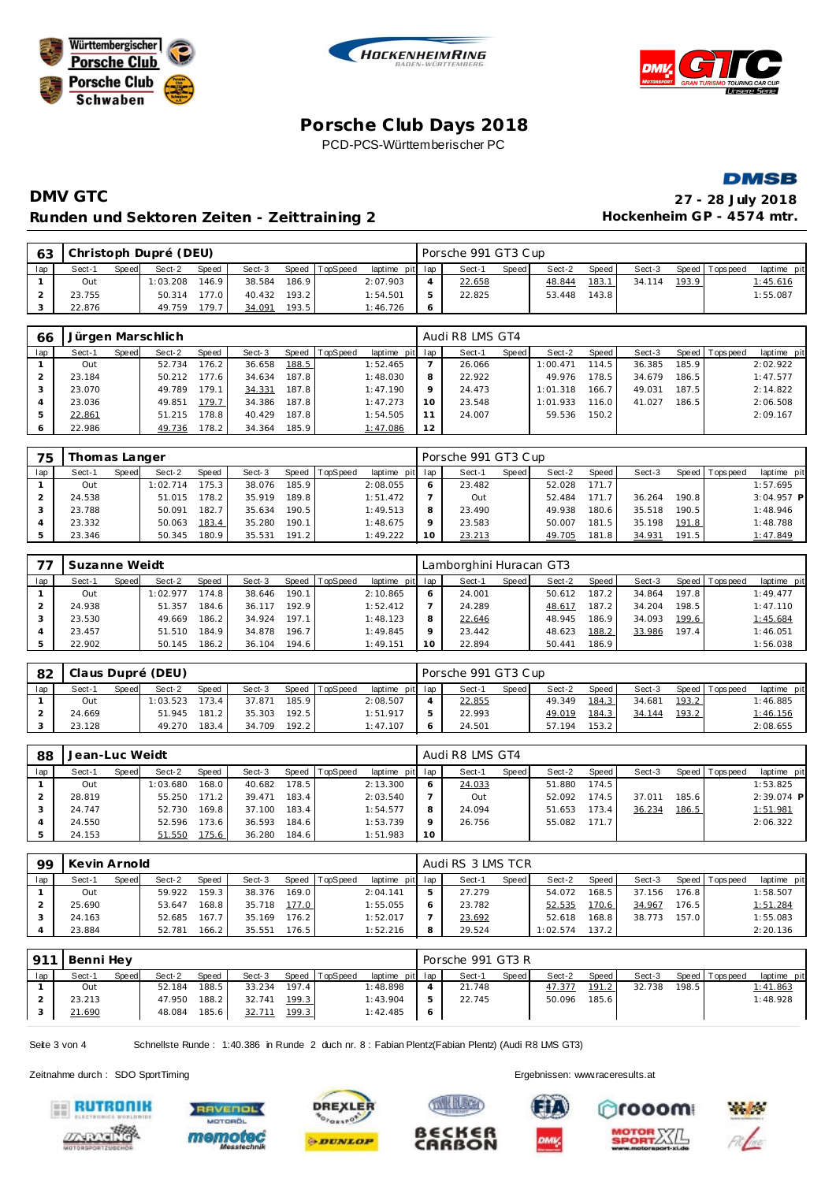







# **DMV GTC 27 - 28 July 2018** Runden und Sektoren Zeiten - Zeittraining 2 **Hockenheim GP** - 4574 mtr.

| 63  |        |       | Christoph Dupré (DEU) |       |        |       |                |                 |    | Porsche 991 GT3 Cup |       |        |       |        |       |                 |             |
|-----|--------|-------|-----------------------|-------|--------|-------|----------------|-----------------|----|---------------------|-------|--------|-------|--------|-------|-----------------|-------------|
| lap | Sect-1 | Speed | Sect-2                | Speed | Sect-3 |       | Speed TopSpeed | laptime pit lap |    | Sect-1              | Speed | Sect-2 | Speed | Sect-3 |       | Speed Tops peed | laptime pit |
|     | Out    |       | 1:03.208              | 146.9 | 38.584 | 186.9 |                | 2:07.903        |    | 22.658              |       | 48.844 | 183.1 | 34.114 | 193.9 |                 | 1:45.616    |
|     | 23.755 |       | 50.314                | 177.0 | 40.432 | 193.2 |                | 1:54.501        | Б. | 22.825              |       | 53.448 | 143.8 |        |       |                 | 1:55.087    |
|     | 22.876 |       | 49.759                | 179.7 | 34.091 | 193.5 |                | 1:46.726        |    |                     |       |        |       |        |       |                 |             |

| 66  |        |       | Jürgen Marschlich |       |        |       |                |                 |         | Audi R8 LMS GT4 |       |          |       |        |       |                |             |
|-----|--------|-------|-------------------|-------|--------|-------|----------------|-----------------|---------|-----------------|-------|----------|-------|--------|-------|----------------|-------------|
| lap | Sect-1 | Speed | Sect-2            | Speed | Sect-3 |       | Speed TopSpeed | laptime pit lap |         | Sect-1          | Speed | Sect-2   | Speed | Sect-3 |       | Speed Topspeed | laptime pit |
|     | Out    |       | 52.734            | 176.2 | 36.658 | 188.5 |                | 1:52.465        |         | 26.066          |       | 1:00.471 | 114.5 | 36.385 | 185.9 |                | 2:02.922    |
|     | 23.184 |       | 50.212            | 177.6 | 34.634 | 187.8 |                | 1:48.030        | 8       | 22.922          |       | 49.976   | 178.5 | 34.679 | 186.5 |                | 1:47.577    |
|     | 23.070 |       | 49.789            | 179.1 | 34.331 | 187.8 |                | 1:47.190        | $\circ$ | 24.473          |       | 1:01.318 | 166.7 | 49.031 | 187.5 |                | 2:14.822    |
|     | 23.036 |       | 49.851            | 179.7 | 34.386 | 187.8 |                | 1:47.273        | 10      | 23.548          |       | 1:01.933 | 116.0 | 41.027 | 186.5 |                | 2:06.508    |
| 5   | 22.861 |       | 51.215            | 178.8 | 40.429 | 187.8 |                | 1:54.505        |         | 24.007          |       | 59.536   | 150.2 |        |       |                | 2:09.167    |
| 6   | 22.986 |       | 49.736            | 178.2 | 34.364 | 185.9 |                | 1:47.086        | 12      |                 |       |          |       |        |       |                |             |

| 75  | Thomas Langer |       |          |              |        |       |                |                 |    | Porsche 991 GT3 Cup |         |        |       |        |       |                |              |
|-----|---------------|-------|----------|--------------|--------|-------|----------------|-----------------|----|---------------------|---------|--------|-------|--------|-------|----------------|--------------|
| lap | Sect-1        | Speed | Sect-2   | <b>Speed</b> | Sect-3 |       | Speed TopSpeed | laptime pit lap |    | Sect-1              | Speed I | Sect-2 | Speed | Sect-3 |       | Speed Topspeed | laptime pit  |
|     | Out           |       | 1:02.714 | 175.3        | 38.076 | 185.9 |                | 2:08.055        |    | 23.482              |         | 52.028 | 171.7 |        |       |                | 1:57.695     |
|     | 24.538        |       | 51.015   | 178.2        | 35.919 | 189.8 |                | 1:51.472        |    | Out                 |         | 52.484 | 171.7 | 36.264 | 190.8 |                | $3:04.957$ P |
|     | 23.788        |       | 50.091   | 182.7        | 35.634 | 190.5 |                | 1:49.513        |    | 23.490              |         | 49.938 | 180.6 | 35.518 | 190.5 |                | 1:48.946     |
|     | 23.332        |       | 50.063   | 183.4        | 35.280 | 190.1 |                | 1:48.675        |    | 23.583              |         | 50.007 | 181.5 | 35.198 | 191.8 |                | 1:48.788     |
|     | 23.346        |       | 50.345   | 180.9        | 35.531 | 191.2 |                | 1:49.222        | 10 | 23.213              |         | 49.705 | 181.8 | 34.931 | 191.5 |                | 1:47.849     |

|     | Suzanne Weidt |       |          |                    |        |       |                  |                 |         | Lamborghini Huracan GT3 |       |        |       |        |       |                |             |
|-----|---------------|-------|----------|--------------------|--------|-------|------------------|-----------------|---------|-------------------------|-------|--------|-------|--------|-------|----------------|-------------|
| lap | Sect-1        | Speed | Sect-2   | Speed              | Sect-3 |       | Speed   TopSpeed | laptime pit lap |         | Sect-1                  | Speed | Sect-2 | Speed | Sect-3 |       | Speed Topspeed | laptime pit |
|     | Out           |       | 1:02.977 | 174.8              | 38.646 | 190.1 |                  | 2:10.865        | 6       | 24.001                  |       | 50.612 | 187.2 | 34.864 | 197.8 |                | 1:49.477    |
|     | 24.938        |       | 51.357   | 184.6 <sub>1</sub> | 36.117 | 192.9 |                  | 1:52.412        |         | 24.289                  |       | 48.617 | 187.2 | 34.204 | 198.5 |                | 1:47.110    |
|     | 23.530        |       | 49.669   | 186.2              | 34.924 | 197.1 |                  | 1:48.123        | 8       | 22.646                  |       | 48.945 | 186.9 | 34.093 | 199.6 |                | 1:45.684    |
|     | 23.457        |       | 51.510   | 184.9              | 34.878 | 196.7 |                  | 1:49.845        | $\circ$ | 23.442                  |       | 48.623 | 188.2 | 33.986 | 197.4 |                | 1:46.051    |
|     | 22.902        |       | 50.145   | 186.2              | 36.104 | 194.6 |                  | 1:49.151        | 10      | 22.894                  |       | 50.441 | 186.9 |        |       |                | 1:56.038    |

| 82  |        |       | Claus Dupré (DEU) |       |        |       |                |                 | Porsche 991 GT3 Cup |       |        |         |        |       |                |             |
|-----|--------|-------|-------------------|-------|--------|-------|----------------|-----------------|---------------------|-------|--------|---------|--------|-------|----------------|-------------|
| lap | Sect-1 | Speed | Sect-2            | Speed | Sect-3 |       | Speed TopSpeed | laptime pit lap | Sect-1              | Speed | Sect-2 | Speed I | Sect-3 |       | Speed Topspeed | laptime pit |
|     | Out    |       | 1:03.523          | 173.4 | 37.871 | 185.9 |                | 2:08.507        | 22.855              |       | 49.349 | 184.3   | 34.681 | 193.2 |                | 1:46.885    |
|     | 24.669 |       | 51.945            | 181.2 | 35.303 | 192.5 |                | 1:51.917        | 22.993              |       | 49.019 | 184.3   | 34.144 | 193.2 |                | 1:46.156    |
|     | 23.128 |       | 49.270            | 183.4 | 34.709 | 192.2 |                | 1:47.107        | 24.501              |       | 57.194 | 153.2   |        |       |                | 2:08.655    |

| 88  | Jean-Luc Weidt |       |          |       |        |       |          |                 |                 | Audi R8 LMS GT4 |       |        |                    |        |       |                 |              |
|-----|----------------|-------|----------|-------|--------|-------|----------|-----------------|-----------------|-----------------|-------|--------|--------------------|--------|-------|-----------------|--------------|
| lap | Sect-1         | Speed | Sect-2   | Speed | Sect-3 | Speed | TopSpeed | laptime pit lap |                 | Sect-1          | Speed | Sect-2 | Speed              | Sect-3 |       | Speed Tops peed | laptime pit  |
|     | Out            |       | 1:03.680 | 168.0 | 40.682 | 178.5 |          | 2:13.300        |                 | 24.033          |       | 51.880 | 174.5              |        |       |                 | 1:53.825     |
|     | 28.819         |       | 55.250   | 71.2  | 39.471 | 183.4 |          | 2:03.540        |                 | Out             |       | 52.092 | 174.5 <sub>1</sub> | 37.011 | 185.6 |                 | $2:39.074$ P |
|     | 24.747         |       | 52.730   | 169.8 | 37.100 | 183.4 |          | 1:54.577        |                 | 24.094          |       | 51.653 | 173.4              | 36.234 | 186.5 |                 | 1:51.981     |
|     | 24.550         |       | 52.596   | 73.6  | 36.593 | 184.6 |          | 1:53.739        |                 | 26.756          |       | 55.082 | 171.7              |        |       |                 | 2:06.322     |
|     | 24.153         |       | 51.550   | 75.6  | 36.280 | 184.6 |          | 1:51.983        | 10 <sup>°</sup> |                 |       |        |                    |        |       |                 |              |

| 99  | Kevin Arnold |       |        |              |        |       |          |                 | Audi RS 3 LMS TCR |        |       |          |       |        |       |                 |             |  |
|-----|--------------|-------|--------|--------------|--------|-------|----------|-----------------|-------------------|--------|-------|----------|-------|--------|-------|-----------------|-------------|--|
| lap | Sect-1       | Speed | Sect-2 | <b>Speed</b> | Sect-3 | Speed | TopSpeed | laptime pit lap |                   | Sect-1 | Speed | Sect-2   | Speed | Sect-3 |       | Speed Tops peed | laptime pit |  |
|     | Out          |       | 59.922 | 159.3        | 38.376 | 169.0 |          | 2:04.141        |                   | 27.279 |       | 54.072   | 168.5 | 37.156 | 176.8 |                 | 1:58.507    |  |
|     | 25.690       |       | 53.647 | 168.8        | 35.718 | 177.0 |          | 1:55.055        | O                 | 23.782 |       | 52.535   | 170.6 | 34.967 | 176.5 |                 | 1:51.284    |  |
|     | 24.163       |       | 52.685 | 167.7        | 35.169 | 176.2 |          | 1:52.017        |                   | 23.692 |       | 52.618   | 168.8 | 38.773 | 157.0 |                 | 1:55.083    |  |
|     | 23.884       |       | 52.781 | 166.2        | 35.551 | 176.5 |          | 1:52.216        | 8                 | 29.524 |       | 1:02.574 | 137.2 |        |       |                 | 2:20.136    |  |

| $-912$ | Benni Hev |       |        |       |        |       |                |                 |           | Porsche 991 GT3 R |       |        |         |        |       |                   |             |  |  |
|--------|-----------|-------|--------|-------|--------|-------|----------------|-----------------|-----------|-------------------|-------|--------|---------|--------|-------|-------------------|-------------|--|--|
| lap    | Sect-1    | Speed | Sect-2 | Speed | Sect-3 |       | Speed TopSpeed | laptime pit lap |           | Sect-1            | Speed | Sect-2 | Speed I | Sect-3 |       | Speed   Tops peed | laptime pit |  |  |
|        | Out       |       | 52.184 | 188.5 | 33.234 | 197.4 |                | 1:48.898        |           | 21.748            |       | 47.377 | 191.2   | 32.738 | 198.5 |                   | 1:41.863    |  |  |
|        | 23.213    |       | 47.950 | 188.2 | 32.741 | 199.3 |                | 1:43.904        |           | 22.745            |       | 50.096 | 185.6   |        |       |                   | 1:48.928    |  |  |
|        | 21.690    |       | 48.084 | 185.6 | 32.711 | 199.3 |                | 1:42.485        | $\bullet$ |                   |       |        |         |        |       |                   |             |  |  |

**TWEE BLECKY** 

B∈CK∈f

CARBON

Seite 3 von 4 Schnellste Runde : 1:40.386 in Runde 2 duch nr. 8 : Fabian Plentz(Fabian Plentz) (Audi R8 LMS GT3)